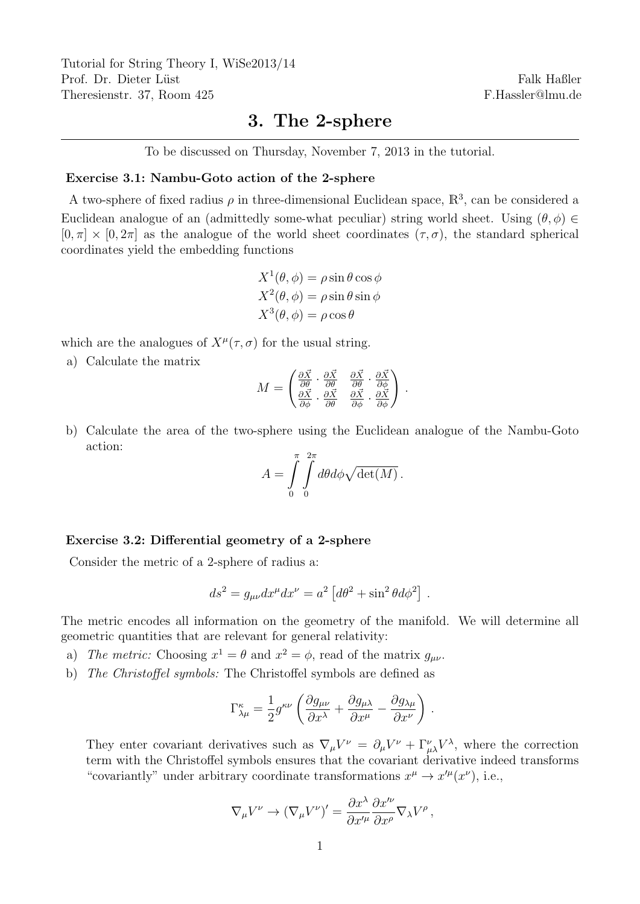Tutorial for String Theory I, WiSe2013/14 Prof. Dr. Dieter Lüst Theresienstr. 37, Room 425

Falk Haßler F.Hassler@lmu.de

## 3. The 2-sphere

To be discussed on Thursday, November 7, 2013 in the tutorial.

## Exercise 3.1: Nambu-Goto action of the 2-sphere

A two-sphere of fixed radius  $\rho$  in three-dimensional Euclidean space,  $\mathbb{R}^3$ , can be considered a Euclidean analogue of an (admittedly some-what peculiar) string world sheet. Using  $(\theta, \phi) \in$  $[0, \pi] \times [0, 2\pi]$  as the analogue of the world sheet coordinates  $(\tau, \sigma)$ , the standard spherical coordinates yield the embedding functions

$$
X^{1}(\theta, \phi) = \rho \sin \theta \cos \phi
$$
  

$$
X^{2}(\theta, \phi) = \rho \sin \theta \sin \phi
$$
  

$$
X^{3}(\theta, \phi) = \rho \cos \theta
$$

which are the analogues of  $X^{\mu}(\tau,\sigma)$  for the usual string.

a) Calculate the matrix

$$
M = \begin{pmatrix} \frac{\partial \vec{X}}{\partial \theta} \cdot \frac{\partial \vec{X}}{\partial \theta} & \frac{\partial \vec{X}}{\partial \theta} \cdot \frac{\partial \vec{X}}{\partial \phi} \\ \frac{\partial \vec{X}}{\partial \phi} \cdot \frac{\partial \vec{X}}{\partial \theta} & \frac{\partial \vec{X}}{\partial \phi} \cdot \frac{\partial \vec{X}}{\partial \phi} \end{pmatrix}.
$$

b) Calculate the area of the two-sphere using the Euclidean analogue of the Nambu-Goto action:

$$
A = \int_{0}^{\pi} \int_{0}^{2\pi} d\theta d\phi \sqrt{\det(M)}.
$$

## Exercise 3.2: Differential geometry of a 2-sphere

Consider the metric of a 2-sphere of radius a:

$$
ds^2 = g_{\mu\nu} dx^{\mu} dx^{\nu} = a^2 \left[ d\theta^2 + \sin^2 \theta d\phi^2 \right] .
$$

The metric encodes all information on the geometry of the manifold. We will determine all geometric quantities that are relevant for general relativity:

- a) The metric: Choosing  $x^1 = \theta$  and  $x^2 = \phi$ , read of the matrix  $g_{\mu\nu}$ .
- b) The Christoffel symbols: The Christoffel symbols are defined as

$$
\Gamma^\kappa_{\lambda\mu} = \frac{1}{2} g^{\kappa\nu} \left( \frac{\partial g_{\mu\nu}}{\partial x^\lambda} + \frac{\partial g_{\mu\lambda}}{\partial x^\mu} - \frac{\partial g_{\lambda\mu}}{\partial x^\nu} \right) .
$$

They enter covariant derivatives such as  $\nabla_{\mu}V^{\nu} = \partial_{\mu}V^{\nu} + \Gamma^{\nu}_{\mu\lambda}V^{\lambda}$ , where the correction term with the Christoffel symbols ensures that the covariant derivative indeed transforms "covariantly" under arbitrary coordinate transformations  $x^{\mu} \to x'^{\mu}(x^{\nu})$ , i.e.,

$$
\nabla_{\mu}V^{\nu}\rightarrow\left(\nabla_{\mu}V^{\nu}\right)'=\frac{\partial x^{\lambda}}{\partial x'^{\mu}}\frac{\partial x'^{\nu}}{\partial x^{\rho}}\nabla_{\lambda}V^{\rho}\,,
$$